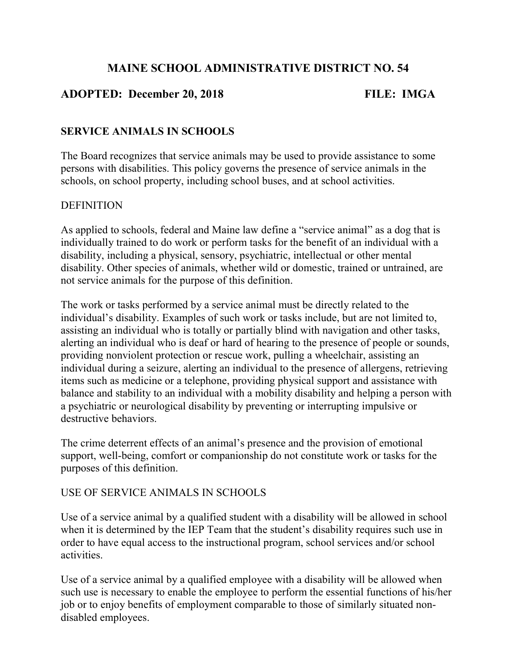# MAINE SCHOOL ADMINISTRATIVE DISTRICT NO. 54

## ADOPTED: December 20, 2018 FILE: IMGA

## SERVICE ANIMALS IN SCHOOLS

The Board recognizes that service animals may be used to provide assistance to some persons with disabilities. This policy governs the presence of service animals in the schools, on school property, including school buses, and at school activities.

#### **DEFINITION**

As applied to schools, federal and Maine law define a "service animal" as a dog that is individually trained to do work or perform tasks for the benefit of an individual with a disability, including a physical, sensory, psychiatric, intellectual or other mental disability. Other species of animals, whether wild or domestic, trained or untrained, are not service animals for the purpose of this definition.

The work or tasks performed by a service animal must be directly related to the individual's disability. Examples of such work or tasks include, but are not limited to, assisting an individual who is totally or partially blind with navigation and other tasks, alerting an individual who is deaf or hard of hearing to the presence of people or sounds, providing nonviolent protection or rescue work, pulling a wheelchair, assisting an individual during a seizure, alerting an individual to the presence of allergens, retrieving items such as medicine or a telephone, providing physical support and assistance with balance and stability to an individual with a mobility disability and helping a person with a psychiatric or neurological disability by preventing or interrupting impulsive or destructive behaviors.

The crime deterrent effects of an animal's presence and the provision of emotional support, well-being, comfort or companionship do not constitute work or tasks for the purposes of this definition.

### USE OF SERVICE ANIMALS IN SCHOOLS

Use of a service animal by a qualified student with a disability will be allowed in school when it is determined by the IEP Team that the student's disability requires such use in order to have equal access to the instructional program, school services and/or school activities.

Use of a service animal by a qualified employee with a disability will be allowed when such use is necessary to enable the employee to perform the essential functions of his/her job or to enjoy benefits of employment comparable to those of similarly situated nondisabled employees.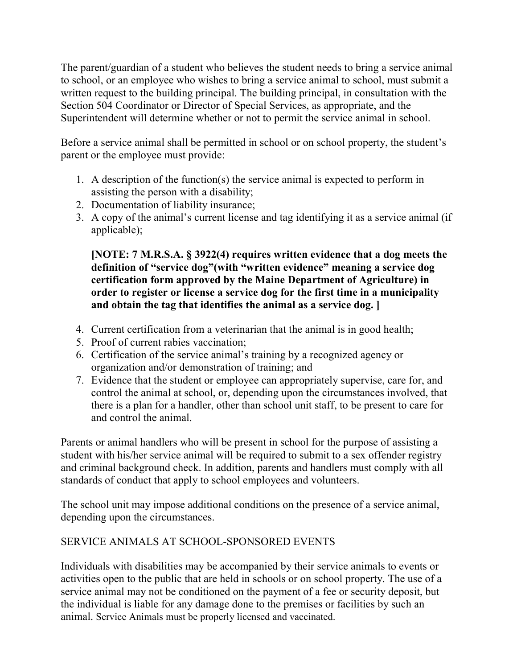The parent/guardian of a student who believes the student needs to bring a service animal to school, or an employee who wishes to bring a service animal to school, must submit a written request to the building principal. The building principal, in consultation with the Section 504 Coordinator or Director of Special Services, as appropriate, and the Superintendent will determine whether or not to permit the service animal in school.

Before a service animal shall be permitted in school or on school property, the student's parent or the employee must provide:

- 1. A description of the function(s) the service animal is expected to perform in assisting the person with a disability;
- 2. Documentation of liability insurance;
- 3. A copy of the animal's current license and tag identifying it as a service animal (if applicable);

[NOTE: 7 M.R.S.A. § 3922(4) requires written evidence that a dog meets the definition of "service dog"(with "written evidence" meaning a service dog certification form approved by the Maine Department of Agriculture) in order to register or license a service dog for the first time in a municipality and obtain the tag that identifies the animal as a service dog. ]

- 4. Current certification from a veterinarian that the animal is in good health;
- 5. Proof of current rabies vaccination;
- 6. Certification of the service animal's training by a recognized agency or organization and/or demonstration of training; and
- 7. Evidence that the student or employee can appropriately supervise, care for, and control the animal at school, or, depending upon the circumstances involved, that there is a plan for a handler, other than school unit staff, to be present to care for and control the animal.

Parents or animal handlers who will be present in school for the purpose of assisting a student with his/her service animal will be required to submit to a sex offender registry and criminal background check. In addition, parents and handlers must comply with all standards of conduct that apply to school employees and volunteers.

The school unit may impose additional conditions on the presence of a service animal, depending upon the circumstances.

## SERVICE ANIMALS AT SCHOOL-SPONSORED EVENTS

Individuals with disabilities may be accompanied by their service animals to events or activities open to the public that are held in schools or on school property. The use of a service animal may not be conditioned on the payment of a fee or security deposit, but the individual is liable for any damage done to the premises or facilities by such an animal. Service Animals must be properly licensed and vaccinated.